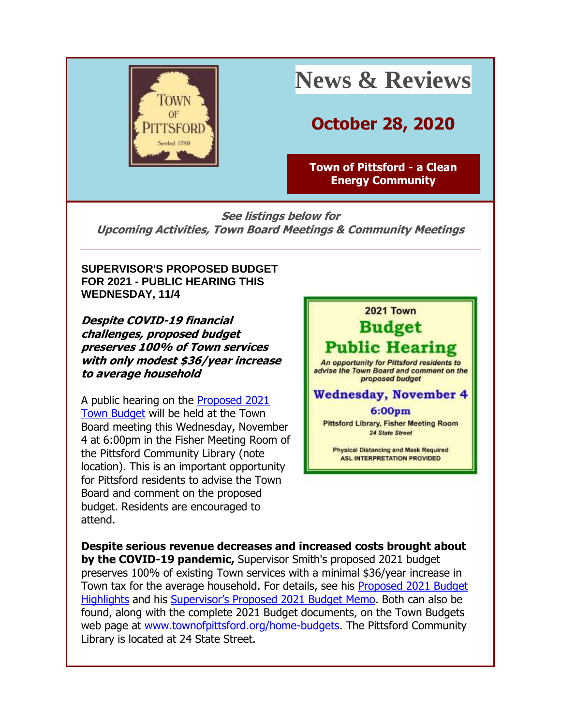

# **News & Reviews**

## **October 28, 2020**

**[Town of Pittsford -](http://r20.rs6.net/tn.jsp?f=0015I8mWc4-yoC_eH5NAFL_yTHwKXc5kk_pVmBzoud3BzlcpikcLl1GzQefvhusj1XZmxOzuSAQ62nHSKkH4CaT-9lzrlJAXP8hNP22w5-R9mAJ8ZiVcXLBjYvmW81ehrDg09JcBsiMUV4Iy5T9qOTVkIc5QS8hCkqo&c=4bNwo79-e0v6v2G_MUVomwxe31V2-5BJ3hcCRe-P5a3u4JfCE-VIqA==&ch=55pOF7G1buV1BOWFIkwELVA72y2fBX6ZeibcGjCGB85SW0X9ni4vpA==) a Clean [Energy Community](http://r20.rs6.net/tn.jsp?f=0015I8mWc4-yoC_eH5NAFL_yTHwKXc5kk_pVmBzoud3BzlcpikcLl1GzQefvhusj1XZmxOzuSAQ62nHSKkH4CaT-9lzrlJAXP8hNP22w5-R9mAJ8ZiVcXLBjYvmW81ehrDg09JcBsiMUV4Iy5T9qOTVkIc5QS8hCkqo&c=4bNwo79-e0v6v2G_MUVomwxe31V2-5BJ3hcCRe-P5a3u4JfCE-VIqA==&ch=55pOF7G1buV1BOWFIkwELVA72y2fBX6ZeibcGjCGB85SW0X9ni4vpA==)**

**See listings below for Upcoming Activities, Town Board Meetings & Community Meetings**

**SUPERVISOR'S PROPOSED BUDGET FOR 2021 - PUBLIC HEARING THIS WEDNESDAY, 11/4**

**Despite COVID-19 financial challenges, proposed budget preserves 100% of Town services with only modest \$36/year increase to average household**

A public hearing on the [Proposed 2021](http://r20.rs6.net/tn.jsp?f=0015I8mWc4-yoC_eH5NAFL_yTHwKXc5kk_pVmBzoud3BzlcpikcLl1GzUjEEj08ylPzEHufG75rmKFAiiJiB9BHphhUZzbMnA7QIV33Iqx89Qzo_Rh92MoD1B5qgm4q691kIHvk1esIV0GjaTRSgL5Xk5v-c9vknejpLWb8hTji4oQ=&c=4bNwo79-e0v6v2G_MUVomwxe31V2-5BJ3hcCRe-P5a3u4JfCE-VIqA==&ch=55pOF7G1buV1BOWFIkwELVA72y2fBX6ZeibcGjCGB85SW0X9ni4vpA==)  [Town Budget](http://r20.rs6.net/tn.jsp?f=0015I8mWc4-yoC_eH5NAFL_yTHwKXc5kk_pVmBzoud3BzlcpikcLl1GzUjEEj08ylPzEHufG75rmKFAiiJiB9BHphhUZzbMnA7QIV33Iqx89Qzo_Rh92MoD1B5qgm4q691kIHvk1esIV0GjaTRSgL5Xk5v-c9vknejpLWb8hTji4oQ=&c=4bNwo79-e0v6v2G_MUVomwxe31V2-5BJ3hcCRe-P5a3u4JfCE-VIqA==&ch=55pOF7G1buV1BOWFIkwELVA72y2fBX6ZeibcGjCGB85SW0X9ni4vpA==) will be held at the Town Board meeting this Wednesday, November 4 at 6:00pm in the Fisher Meeting Room of the Pittsford Community Library (note location). This is an important opportunity for Pittsford residents to advise the Town Board and comment on the proposed budget. Residents are encouraged to attend.



**Despite serious revenue decreases and increased costs brought about by the COVID-19 pandemic,** Supervisor Smith's proposed 2021 budget preserves 100% of existing Town services with a minimal \$36/year increase in Town tax for the average household. For details, see his [Proposed 2021 Budget](http://r20.rs6.net/tn.jsp?f=0015I8mWc4-yoC_eH5NAFL_yTHwKXc5kk_pVmBzoud3BzlcpikcLl1GzWJ4U2bNCYXhiLJLe_7XIQZpMrknlYBpaGug1mK1b-cQdfHHeDlM7zjPQeRu8mDw7bOnEwaRGbNaMnSf87_HM13koY8semwaJgoQ7oxV2SGaz-NV36r972OVt2u6jdhEN9_eMlWpe6bIa8mtWq9xWcMgyro8QMX1zgxR6oLOe3FG3y1rrJmjHotg8Kpn3rpJfg==&c=4bNwo79-e0v6v2G_MUVomwxe31V2-5BJ3hcCRe-P5a3u4JfCE-VIqA==&ch=55pOF7G1buV1BOWFIkwELVA72y2fBX6ZeibcGjCGB85SW0X9ni4vpA==)  [Highlights](http://r20.rs6.net/tn.jsp?f=0015I8mWc4-yoC_eH5NAFL_yTHwKXc5kk_pVmBzoud3BzlcpikcLl1GzWJ4U2bNCYXhiLJLe_7XIQZpMrknlYBpaGug1mK1b-cQdfHHeDlM7zjPQeRu8mDw7bOnEwaRGbNaMnSf87_HM13koY8semwaJgoQ7oxV2SGaz-NV36r972OVt2u6jdhEN9_eMlWpe6bIa8mtWq9xWcMgyro8QMX1zgxR6oLOe3FG3y1rrJmjHotg8Kpn3rpJfg==&c=4bNwo79-e0v6v2G_MUVomwxe31V2-5BJ3hcCRe-P5a3u4JfCE-VIqA==&ch=55pOF7G1buV1BOWFIkwELVA72y2fBX6ZeibcGjCGB85SW0X9ni4vpA==) and his Supervisor's Propose[d 2021 Budget Memo.](http://r20.rs6.net/tn.jsp?f=0015I8mWc4-yoC_eH5NAFL_yTHwKXc5kk_pVmBzoud3BzlcpikcLl1GzWJ4U2bNCYXhpWohzEiDVanZMHtoyXwlP0Ub6kLRV7VoglN0OSiCWOaAQ9YPjLCD5n6jVrY3OUkJzfHG3taP2UQcHCnEgKsEpYpEMyOJdW-jeOQQyqd8s-J5oV9ldctE02F5bOToSmz-7rdDz7YqZ6vs9XjCtl2pPlugKEfu7MtYjQAKmdsmjxTBsY8FL0-DnLlHC5ux_BAi&c=4bNwo79-e0v6v2G_MUVomwxe31V2-5BJ3hcCRe-P5a3u4JfCE-VIqA==&ch=55pOF7G1buV1BOWFIkwELVA72y2fBX6ZeibcGjCGB85SW0X9ni4vpA==) Both can also be found, along with the complete 2021 Budget documents, on the Town Budgets web page at [www.townofpittsford.org/home-budgets.](http://r20.rs6.net/tn.jsp?f=0015I8mWc4-yoC_eH5NAFL_yTHwKXc5kk_pVmBzoud3BzlcpikcLl1Gzc-WTNd6Qzz1VzmxKXiCI-4kHMzIFtXNM1o7q_SYPXm4xPTA0dnBy-giQJ1wObiU1A4tlxEBfDLTe_LwacUUBe6UFQMSSSkBsksNm5DkalcemaBg9gt-KPs=&c=4bNwo79-e0v6v2G_MUVomwxe31V2-5BJ3hcCRe-P5a3u4JfCE-VIqA==&ch=55pOF7G1buV1BOWFIkwELVA72y2fBX6ZeibcGjCGB85SW0X9ni4vpA==) The Pittsford Community Library is located at 24 State Street.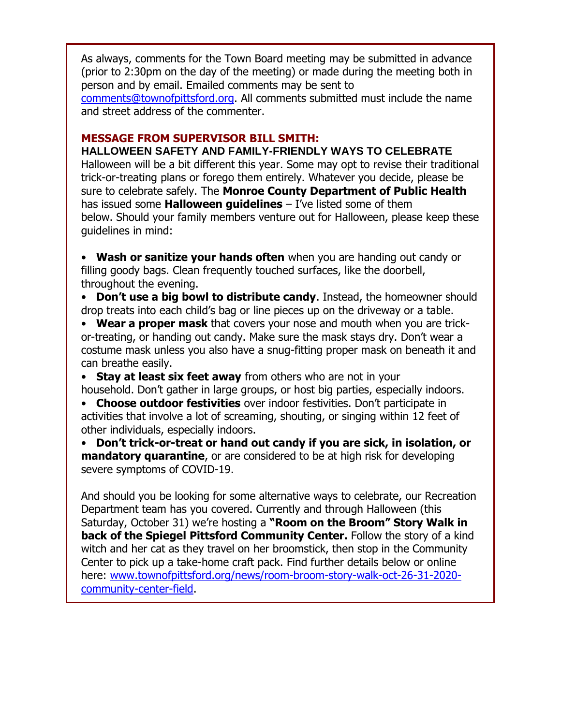As always, comments for the Town Board meeting may be submitted in advance (prior to 2:30pm on the day of the meeting) or made during the meeting both in person and by email. Emailed comments may be sent to [comments@townofpittsford.org.](mailto:comments@townofpittsford.org) All comments submitted must include the name and street address of the commenter.

#### **MESSAGE FROM SUPERVISOR BILL SMITH:**

**HALLOWEEN SAFETY AND FAMILY-FRIENDLY WAYS TO CELEBRATE** Halloween will be a bit different this year. Some may opt to revise their traditional trick-or-treating plans or forego them entirely. Whatever you decide, please be sure to celebrate safely. The **Monroe County Department of Public Health** has issued some **Halloween guidelines** – I've listed some of them below. Should your family members venture out for Halloween, please keep these guidelines in mind:

• **Wash or sanitize your hands often** when you are handing out candy or filling goody bags. Clean frequently touched surfaces, like the doorbell, throughout the evening.

• **Don't use a big bowl to distribute candy**. Instead, the homeowner should drop treats into each child's bag or line pieces up on the driveway or a table.

• **Wear a proper mask** that covers your nose and mouth when you are trickor-treating, or handing out candy. Make sure the mask stays dry. Don't wear a costume mask unless you also have a snug-fitting proper mask on beneath it and can breathe easily.

• **Stay at least six feet away** from others who are not in your

household. Don't gather in large groups, or host big parties, especially indoors. • **Choose outdoor festivities** over indoor festivities. Don't participate in activities that involve a lot of screaming, shouting, or singing within 12 feet of other individuals, especially indoors.

• **Don't trick-or-treat or hand out candy if you are sick, in isolation, or mandatory quarantine**, or are considered to be at high risk for developing severe symptoms of COVID-19.

And should you be looking for some alternative ways to celebrate, our Recreation Department team has you covered. Currently and through Halloween (this Saturday, October 31) we're hosting a **"Room on the Broom" Story Walk in back of the Spiegel Pittsford Community Center.** Follow the story of a kind witch and her cat as they travel on her broomstick, then stop in the Community Center to pick up a take-home craft pack. Find further details below or online here: [www.townofpittsford.org/news/room-broom-story-walk-oct-26-31-2020](http://r20.rs6.net/tn.jsp?f=0015I8mWc4-yoC_eH5NAFL_yTHwKXc5kk_pVmBzoud3BzlcpikcLl1GzWJ4U2bNCYXhDiuSnzcKIEogkrqBxup6xBdogVEBourJXiLvAzUo8ouEsOZGEXl1agc6D7n7nn1H26fgouvOcjD4bSRMFlMVhmFkRevZqblbR2o3IMnYyLvZYv8fY4TIsDs16D7F4b7UVUc1dYgeLKi37X1SzAa5YrawdKjsyReEMgsdvFmY0kkItc5WJoBxkQ==&c=4bNwo79-e0v6v2G_MUVomwxe31V2-5BJ3hcCRe-P5a3u4JfCE-VIqA==&ch=55pOF7G1buV1BOWFIkwELVA72y2fBX6ZeibcGjCGB85SW0X9ni4vpA==) [community-center-field.](http://r20.rs6.net/tn.jsp?f=0015I8mWc4-yoC_eH5NAFL_yTHwKXc5kk_pVmBzoud3BzlcpikcLl1GzWJ4U2bNCYXhDiuSnzcKIEogkrqBxup6xBdogVEBourJXiLvAzUo8ouEsOZGEXl1agc6D7n7nn1H26fgouvOcjD4bSRMFlMVhmFkRevZqblbR2o3IMnYyLvZYv8fY4TIsDs16D7F4b7UVUc1dYgeLKi37X1SzAa5YrawdKjsyReEMgsdvFmY0kkItc5WJoBxkQ==&c=4bNwo79-e0v6v2G_MUVomwxe31V2-5BJ3hcCRe-P5a3u4JfCE-VIqA==&ch=55pOF7G1buV1BOWFIkwELVA72y2fBX6ZeibcGjCGB85SW0X9ni4vpA==)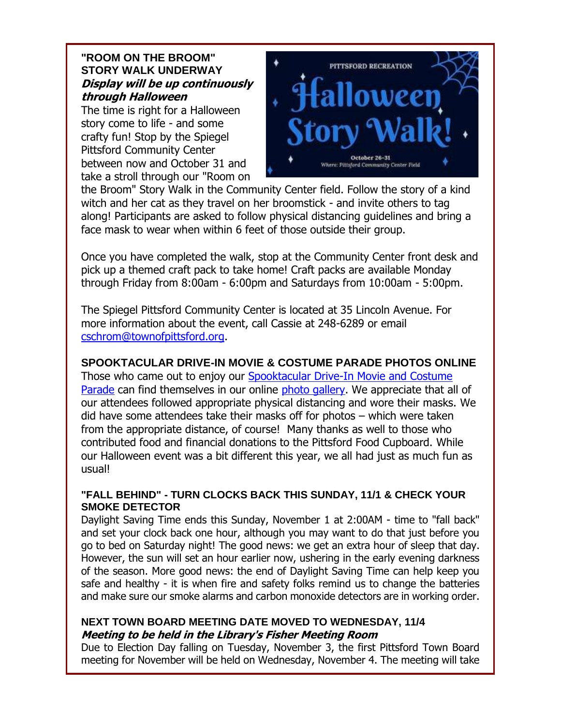#### **"ROOM ON THE BROOM" STORY WALK UNDERWAY Display will be up continuously through Halloween**

The time is right for a Halloween story come to life - and some crafty fun! Stop by the Spiegel Pittsford Community Center between now and October 31 and take a stroll through our "Room on



the Broom" Story Walk in the Community Center field. Follow the story of a kind witch and her cat as they travel on her broomstick - and invite others to tag along! Participants are asked to follow physical distancing guidelines and bring a face mask to wear when within 6 feet of those outside their group.

Once you have completed the walk, stop at the Community Center front desk and pick up a themed craft pack to take home! Craft packs are available Monday through Friday from 8:00am - 6:00pm and Saturdays from 10:00am - 5:00pm.

The Spiegel Pittsford Community Center is located at 35 Lincoln Avenue. For more information about the event, call Cassie at 248-6289 or email [cschrom@townofpittsford.org.](mailto:cschrom@townofpittsford.org)

#### **SPOOKTACULAR DRIVE-IN MOVIE & COSTUME PARADE PHOTOS ONLINE**

Those who came out to enjoy our [Spooktacular Drive-In Movie and Costume](http://r20.rs6.net/tn.jsp?f=0015I8mWc4-yoC_eH5NAFL_yTHwKXc5kk_pVmBzoud3BzlcpikcLl1GzWJ4U2bNCYXhHILTQAhTEd4a6f0bfrCGPyfDRrsVF2fmsDy9FV4PQMwQMW1jKcDt4FC9vSnuLKWUTqkwcPVSCT6xTTTCv6jAdy8RL0QwxP8muq9iujbcZmI=&c=4bNwo79-e0v6v2G_MUVomwxe31V2-5BJ3hcCRe-P5a3u4JfCE-VIqA==&ch=55pOF7G1buV1BOWFIkwELVA72y2fBX6ZeibcGjCGB85SW0X9ni4vpA==)  [Parade](http://r20.rs6.net/tn.jsp?f=0015I8mWc4-yoC_eH5NAFL_yTHwKXc5kk_pVmBzoud3BzlcpikcLl1GzWJ4U2bNCYXhHILTQAhTEd4a6f0bfrCGPyfDRrsVF2fmsDy9FV4PQMwQMW1jKcDt4FC9vSnuLKWUTqkwcPVSCT6xTTTCv6jAdy8RL0QwxP8muq9iujbcZmI=&c=4bNwo79-e0v6v2G_MUVomwxe31V2-5BJ3hcCRe-P5a3u4JfCE-VIqA==&ch=55pOF7G1buV1BOWFIkwELVA72y2fBX6ZeibcGjCGB85SW0X9ni4vpA==) can find themselves in our online [photo gallery.](http://r20.rs6.net/tn.jsp?f=0015I8mWc4-yoC_eH5NAFL_yTHwKXc5kk_pVmBzoud3BzlcpikcLl1GzWJ4U2bNCYXhHILTQAhTEd4a6f0bfrCGPyfDRrsVF2fmsDy9FV4PQMwQMW1jKcDt4FC9vSnuLKWUTqkwcPVSCT6xTTTCv6jAdy8RL0QwxP8muq9iujbcZmI=&c=4bNwo79-e0v6v2G_MUVomwxe31V2-5BJ3hcCRe-P5a3u4JfCE-VIqA==&ch=55pOF7G1buV1BOWFIkwELVA72y2fBX6ZeibcGjCGB85SW0X9ni4vpA==) We appreciate that all of our attendees followed appropriate physical distancing and wore their masks. We did have some attendees take their masks off for photos – which were taken from the appropriate distance, of course! Many thanks as well to those who contributed food and financial donations to the Pittsford Food Cupboard. While our Halloween event was a bit different this year, we all had just as much fun as usual!

#### **"FALL BEHIND" - TURN CLOCKS BACK THIS SUNDAY, 11/1 & CHECK YOUR SMOKE DETECTOR**

Daylight Saving Time ends this Sunday, November 1 at 2:00AM - time to "fall back" and set your clock back one hour, although you may want to do that just before you go to bed on Saturday night! The good news: we get an extra hour of sleep that day. However, the sun will set an hour earlier now, ushering in the early evening darkness of the season. More good news: the end of Daylight Saving Time can help keep you safe and healthy - it is when fire and safety folks remind us to change the batteries and make sure our smoke alarms and carbon monoxide detectors are in working order.

#### **NEXT TOWN BOARD MEETING DATE MOVED TO WEDNESDAY, 11/4 Meeting to be held in the Library's Fisher Meeting Room**

Due to Election Day falling on Tuesday, November 3, the first Pittsford Town Board meeting for November will be held on Wednesday, November 4. The meeting will take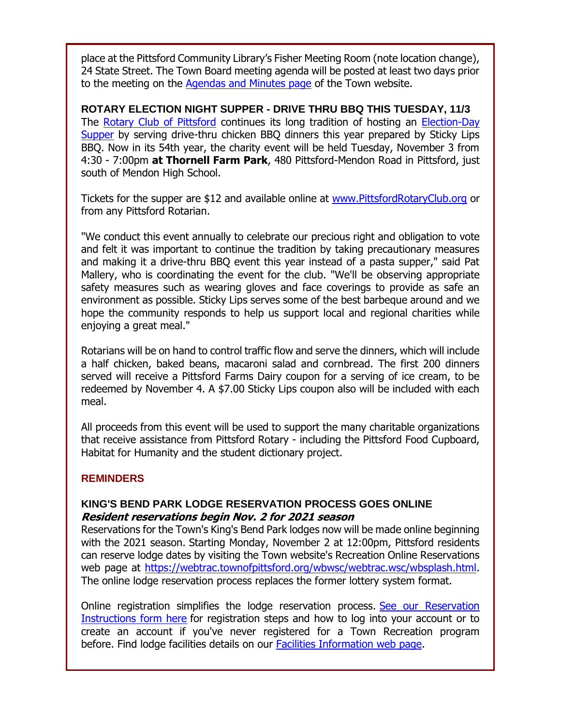place at the Pittsford Community Library's Fisher Meeting Room (note location change), 24 State Street. The Town Board meeting agenda will be posted at least two days prior to the meeting on the [Agendas and Minutes page](http://r20.rs6.net/tn.jsp?f=0015I8mWc4-yoC_eH5NAFL_yTHwKXc5kk_pVmBzoud3BzlcpikcLl1GzWCEwYn_qDlFcdEAaUdxpEl9xZxa402WBCxK43dnpcRVZidwG-jFywIsb2iPaAJprfkWuAYt7KBedIMZVzWU5yNjL7Rs2_9qoIoZuRQ-iZ_GgpAaAYYlesI=&c=4bNwo79-e0v6v2G_MUVomwxe31V2-5BJ3hcCRe-P5a3u4JfCE-VIqA==&ch=55pOF7G1buV1BOWFIkwELVA72y2fBX6ZeibcGjCGB85SW0X9ni4vpA==) of the Town website.

**ROTARY ELECTION NIGHT SUPPER - DRIVE THRU BBQ THIS TUESDAY, 11/3** The [Rotary Club of Pittsford](http://r20.rs6.net/tn.jsp?f=0015I8mWc4-yoC_eH5NAFL_yTHwKXc5kk_pVmBzoud3BzlcpikcLl1Gzb-kbszvcqLmzb38czyeaEOWTNiAWWSLntMLsAdRi6XvHLEQdT4XQLbihz8HJ334JBW3CVgzbfKgz1QClFvJwU9cACno15PLxKxprLefGcrc&c=4bNwo79-e0v6v2G_MUVomwxe31V2-5BJ3hcCRe-P5a3u4JfCE-VIqA==&ch=55pOF7G1buV1BOWFIkwELVA72y2fBX6ZeibcGjCGB85SW0X9ni4vpA==) continues its long tradition of hosting an [Election-Day](http://r20.rs6.net/tn.jsp?f=0015I8mWc4-yoC_eH5NAFL_yTHwKXc5kk_pVmBzoud3BzlcpikcLl1GzROmPMpmpQttBEyWqXhzpT3FV6jDuVff-qJQ5XfXJCwnoprqRTBRhjMneQLmfpnlXy0FgCWDxdzhFYX_lDb7KZuoLJpVwcGUv1VLYgxewR6SeGHU_hACXkPS7zEyjgkR5hSp39EoYF79Dj0XdpL_d_VZiQ0Ke9iGI7wipT9akgoHzXJa2WL8ImYOdK1Sv7fN2a4IzcAKyhHnb_N8ewi4RdZbTpSOxXyc0IUj8401SlSkv4V8OZQRcp7F5W26iKPyPhyQSVMqHM9d&c=4bNwo79-e0v6v2G_MUVomwxe31V2-5BJ3hcCRe-P5a3u4JfCE-VIqA==&ch=55pOF7G1buV1BOWFIkwELVA72y2fBX6ZeibcGjCGB85SW0X9ni4vpA==)  [Supper](http://r20.rs6.net/tn.jsp?f=0015I8mWc4-yoC_eH5NAFL_yTHwKXc5kk_pVmBzoud3BzlcpikcLl1GzROmPMpmpQttBEyWqXhzpT3FV6jDuVff-qJQ5XfXJCwnoprqRTBRhjMneQLmfpnlXy0FgCWDxdzhFYX_lDb7KZuoLJpVwcGUv1VLYgxewR6SeGHU_hACXkPS7zEyjgkR5hSp39EoYF79Dj0XdpL_d_VZiQ0Ke9iGI7wipT9akgoHzXJa2WL8ImYOdK1Sv7fN2a4IzcAKyhHnb_N8ewi4RdZbTpSOxXyc0IUj8401SlSkv4V8OZQRcp7F5W26iKPyPhyQSVMqHM9d&c=4bNwo79-e0v6v2G_MUVomwxe31V2-5BJ3hcCRe-P5a3u4JfCE-VIqA==&ch=55pOF7G1buV1BOWFIkwELVA72y2fBX6ZeibcGjCGB85SW0X9ni4vpA==) by serving drive-thru chicken BBQ dinners this year prepared by Sticky Lips BBQ. Now in its 54th year, the charity event will be held Tuesday, November 3 from 4:30 - 7:00pm **at Thornell Farm Park**, 480 Pittsford-Mendon Road in Pittsford, just south of Mendon High School.

Tickets for the supper are \$12 and available online at [www.PittsfordRotaryClub.org](http://r20.rs6.net/tn.jsp?f=0015I8mWc4-yoC_eH5NAFL_yTHwKXc5kk_pVmBzoud3BzlcpikcLl1Gzb-kbszvcqLmzb38czyeaEOWTNiAWWSLntMLsAdRi6XvHLEQdT4XQLbihz8HJ334JBW3CVgzbfKgz1QClFvJwU9cACno15PLxKxprLefGcrc&c=4bNwo79-e0v6v2G_MUVomwxe31V2-5BJ3hcCRe-P5a3u4JfCE-VIqA==&ch=55pOF7G1buV1BOWFIkwELVA72y2fBX6ZeibcGjCGB85SW0X9ni4vpA==) or from any Pittsford Rotarian.

"We conduct this event annually to celebrate our precious right and obligation to vote and felt it was important to continue the tradition by taking precautionary measures and making it a drive-thru BBQ event this year instead of a pasta supper," said Pat Mallery, who is coordinating the event for the club. "We'll be observing appropriate safety measures such as wearing gloves and face coverings to provide as safe an environment as possible. Sticky Lips serves some of the best barbeque around and we hope the community responds to help us support local and regional charities while enjoying a great meal."

Rotarians will be on hand to control traffic flow and serve the dinners, which will include a half chicken, baked beans, macaroni salad and cornbread. The first 200 dinners served will receive a Pittsford Farms Dairy coupon for a serving of ice cream, to be redeemed by November 4. A \$7.00 Sticky Lips coupon also will be included with each meal.

All proceeds from this event will be used to support the many charitable organizations that receive assistance from Pittsford Rotary - including the Pittsford Food Cupboard, Habitat for Humanity and the student dictionary project.

#### **REMINDERS**

#### **KING'S BEND PARK LODGE RESERVATION PROCESS GOES ONLINE Resident reservations begin Nov. 2 for 2021 season**

Reservations for the Town's King's Bend Park lodges now will be made online beginning with the 2021 season. Starting Monday, November 2 at 12:00pm, Pittsford residents can reserve lodge dates by visiting the Town website's Recreation Online Reservations web page at [https://webtrac.townofpittsford.org/wbwsc/webtrac.wsc/wbsplash.html.](http://r20.rs6.net/tn.jsp?f=0015I8mWc4-yoC_eH5NAFL_yTHwKXc5kk_pVmBzoud3BzlcpikcLl1Gzb-kbszvcqLm5WbEFOXbsoiRpvun_u_e11G-2Qot3C2TJPUbhYe8UEA-5vBlBlxabit60jCX6436kA4JEjr6WWE4bEIQx01wZQNs2CC0d2r5ntWFIlTFdq-ZfaA2E3wQwdOBKWcE5HALIdU2786gAvrzKwhYQN2-aQ==&c=4bNwo79-e0v6v2G_MUVomwxe31V2-5BJ3hcCRe-P5a3u4JfCE-VIqA==&ch=55pOF7G1buV1BOWFIkwELVA72y2fBX6ZeibcGjCGB85SW0X9ni4vpA==) The online lodge reservation process replaces the former lottery system format.

Online registration simplifies the lodge reservation process. [See our Reservation](http://r20.rs6.net/tn.jsp?f=0015I8mWc4-yoC_eH5NAFL_yTHwKXc5kk_pVmBzoud3BzlcpikcLl1GzfnXPveVZhj_Z8PEqabnA7Tuzd7gqoOpYxR6iM3HyNq646EXOopCEwZxoyG2JrxkJnb4CeOWjf1LCIAPEsZ6FQb2d-yHS6GBQZ2QXnn8efzeJvd34xzYFzDQzkHXRfxAGwT8jCD5Px-7jAOkzTf9nKjYea9w7efWt6cVT9qogQ4p_9zR8zzLspTPa3F_6xBSbknoqSqce1g8mbVOvfJsVJA=&c=4bNwo79-e0v6v2G_MUVomwxe31V2-5BJ3hcCRe-P5a3u4JfCE-VIqA==&ch=55pOF7G1buV1BOWFIkwELVA72y2fBX6ZeibcGjCGB85SW0X9ni4vpA==)  [Instructions form here](http://r20.rs6.net/tn.jsp?f=0015I8mWc4-yoC_eH5NAFL_yTHwKXc5kk_pVmBzoud3BzlcpikcLl1GzfnXPveVZhj_Z8PEqabnA7Tuzd7gqoOpYxR6iM3HyNq646EXOopCEwZxoyG2JrxkJnb4CeOWjf1LCIAPEsZ6FQb2d-yHS6GBQZ2QXnn8efzeJvd34xzYFzDQzkHXRfxAGwT8jCD5Px-7jAOkzTf9nKjYea9w7efWt6cVT9qogQ4p_9zR8zzLspTPa3F_6xBSbknoqSqce1g8mbVOvfJsVJA=&c=4bNwo79-e0v6v2G_MUVomwxe31V2-5BJ3hcCRe-P5a3u4JfCE-VIqA==&ch=55pOF7G1buV1BOWFIkwELVA72y2fBX6ZeibcGjCGB85SW0X9ni4vpA==) for registration steps and how to log into your account or to create an account if you've never registered for a Town Recreation program before. Find lodge facilities details on our [Facilities Information web page.](http://r20.rs6.net/tn.jsp?f=0015I8mWc4-yoC_eH5NAFL_yTHwKXc5kk_pVmBzoud3BzlcpikcLl1GzX01HbD2U1S3_C0DV7PoKdF4IMLVy72sj2cJBzeqOKQx6PgEpDnuFyf-yaSACqZ6-07tlyJmSwJ_4VRIMORDlPS0ZpBQA28NLzwYsZ8AHgma&c=4bNwo79-e0v6v2G_MUVomwxe31V2-5BJ3hcCRe-P5a3u4JfCE-VIqA==&ch=55pOF7G1buV1BOWFIkwELVA72y2fBX6ZeibcGjCGB85SW0X9ni4vpA==)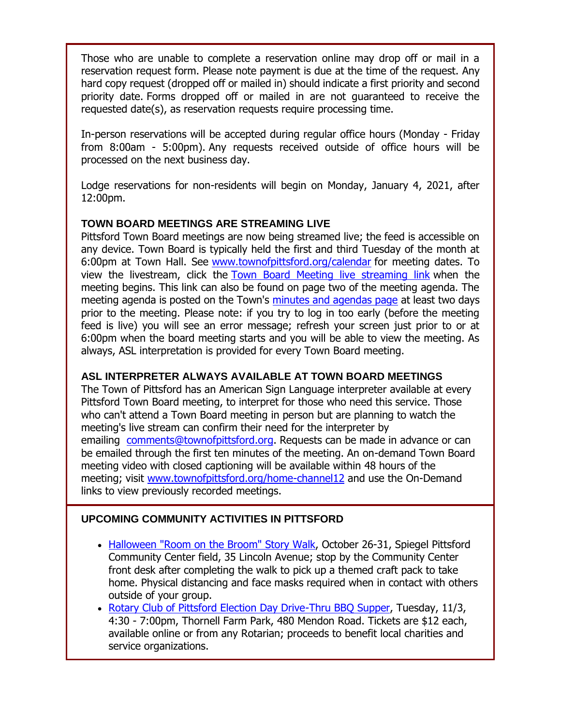Those who are unable to complete a reservation online may drop off or mail in a reservation request form. Please note payment is due at the time of the request. Any hard copy request (dropped off or mailed in) should indicate a first priority and second priority date. Forms dropped off or mailed in are not guaranteed to receive the requested date(s), as reservation requests require processing time.

In-person reservations will be accepted during regular office hours (Monday - Friday from 8:00am - 5:00pm). Any requests received outside of office hours will be processed on the next business day.

Lodge reservations for non-residents will begin on Monday, January 4, 2021, after 12:00pm.

#### **TOWN BOARD MEETINGS ARE STREAMING LIVE**

Pittsford Town Board meetings are now being streamed live; the feed is accessible on any device. Town Board is typically held the first and third Tuesday of the month at 6:00pm at Town Hall. See [www.townofpittsford.org/calendar](http://r20.rs6.net/tn.jsp?f=0015I8mWc4-yoC_eH5NAFL_yTHwKXc5kk_pVmBzoud3BzlcpikcLl1GzcxumONUVABWfM-HfIbZd1BJum9vT_EAM7BJj29-VcJXOJpk9r2H9Q1GC8yznFEWX12cHS-ISPGLFK7wPvfx_cro_qXnlXCOqpN5dpxT6aZ-xTq9gS6YWuI=&c=4bNwo79-e0v6v2G_MUVomwxe31V2-5BJ3hcCRe-P5a3u4JfCE-VIqA==&ch=55pOF7G1buV1BOWFIkwELVA72y2fBX6ZeibcGjCGB85SW0X9ni4vpA==) for meeting dates. To view the livestream, click the [Town Board Meeting live streaming link](http://r20.rs6.net/tn.jsp?f=0015I8mWc4-yoC_eH5NAFL_yTHwKXc5kk_pVmBzoud3BzlcpikcLl1GzcxumONUVABW4-NfAaIzOZIDc20jP4RtrSOQJGm2XHqYBHAZFRTzJSt43TXVXPCEQ3g1IOLqDXGpjtbW0bQdltuJLVp-jwnOonAsA5fMMBIVEbvFNQ-84hTn_yp1pwaDExTEosPwJb_ldTpaBukExV7g3Jkv8-UqdcYZn94Ou-5p6zrvi7_JNHmo2J7ZBbWSaXwDtMx64YPSil3lgtCf6n2yb1aMCWQmPat5_Vhq-PkKDIl4gUDfNG5v9fMgeUKixgGTtc3dtOYO&c=4bNwo79-e0v6v2G_MUVomwxe31V2-5BJ3hcCRe-P5a3u4JfCE-VIqA==&ch=55pOF7G1buV1BOWFIkwELVA72y2fBX6ZeibcGjCGB85SW0X9ni4vpA==) when the meeting begins. This link can also be found on page two of the meeting agenda. The meeting agenda is posted on the Town's [minutes and agendas page](http://r20.rs6.net/tn.jsp?f=0015I8mWc4-yoC_eH5NAFL_yTHwKXc5kk_pVmBzoud3BzlcpikcLl1GzWCEwYn_qDlFcdEAaUdxpEl9xZxa402WBCxK43dnpcRVZidwG-jFywIsb2iPaAJprfkWuAYt7KBedIMZVzWU5yNjL7Rs2_9qoIoZuRQ-iZ_GgpAaAYYlesI=&c=4bNwo79-e0v6v2G_MUVomwxe31V2-5BJ3hcCRe-P5a3u4JfCE-VIqA==&ch=55pOF7G1buV1BOWFIkwELVA72y2fBX6ZeibcGjCGB85SW0X9ni4vpA==) at least two days prior to the meeting. Please note: if you try to log in too early (before the meeting feed is live) you will see an error message; refresh your screen just prior to or at 6:00pm when the board meeting starts and you will be able to view the meeting. As always, ASL interpretation is provided for every Town Board meeting.

#### **ASL INTERPRETER ALWAYS AVAILABLE AT TOWN BOARD MEETINGS**

The Town of Pittsford has an American Sign Language interpreter available at every Pittsford Town Board meeting, to interpret for those who need this service. Those who can't attend a Town Board meeting in person but are planning to watch the meeting's live stream can confirm their need for the interpreter by emailing [comments@townofpittsford.org.](mailto:comments@townofpittsford.org?subject=ASL%20interperter%20request%20for%20Town%20Board%20meeting) Requests can be made in advance or can be emailed through the first ten minutes of the meeting. An on-demand Town Board meeting video with closed captioning will be available within 48 hours of the meeting; visit [www.townofpittsford.org/home-channel12](http://r20.rs6.net/tn.jsp?f=0015I8mWc4-yoC_eH5NAFL_yTHwKXc5kk_pVmBzoud3BzlcpikcLl1GzX01HbD2U1S3vrtnTHOu8URWJNMPgpVXJevcIzZPeT7Pl7OWc6d02xwZ9hc-4Mi-rkHDDqAo8uhDW5CX3543FD9Q7Z0chwTGqy0byUx5vPe0J1j6Idaciww=&c=4bNwo79-e0v6v2G_MUVomwxe31V2-5BJ3hcCRe-P5a3u4JfCE-VIqA==&ch=55pOF7G1buV1BOWFIkwELVA72y2fBX6ZeibcGjCGB85SW0X9ni4vpA==) and use the On-Demand links to view previously recorded meetings.

#### **UPCOMING COMMUNITY ACTIVITIES IN PITTSFORD**

- [Halloween "Room on the Broom" Story Walk,](http://r20.rs6.net/tn.jsp?f=0015I8mWc4-yoC_eH5NAFL_yTHwKXc5kk_pVmBzoud3BzlcpikcLl1GzfnXPveVZhj_XOvt86uwGiWmI_l55KW_F4j0Z2GlSLWhvFeeW7ss2dRsGM0Rb9cfnjRBG_vTiAtmN3oUGhdZ0QM5-EgJ5AfCi7L7Wm2pMyd_jhEXjNPXbaVU0Ou9qUymsxctdkyqnpf0CuLFmALrv7rO483pCF4OxSMgK-Rre9Iy2_4jBe1mcm4=&c=4bNwo79-e0v6v2G_MUVomwxe31V2-5BJ3hcCRe-P5a3u4JfCE-VIqA==&ch=55pOF7G1buV1BOWFIkwELVA72y2fBX6ZeibcGjCGB85SW0X9ni4vpA==) October 26-31, Spiegel Pittsford Community Center field, 35 Lincoln Avenue; stop by the Community Center front desk after completing the walk to pick up a themed craft pack to take home. Physical distancing and face masks required when in contact with others outside of your group.
- [Rotary Club of Pittsford Election Day Drive-Thru BBQ Supper,](http://r20.rs6.net/tn.jsp?f=0015I8mWc4-yoC_eH5NAFL_yTHwKXc5kk_pVmBzoud3BzlcpikcLl1Gzb-kbszvcqLmzb38czyeaEOWTNiAWWSLntMLsAdRi6XvHLEQdT4XQLbihz8HJ334JBW3CVgzbfKgz1QClFvJwU9cACno15PLxKxprLefGcrc&c=4bNwo79-e0v6v2G_MUVomwxe31V2-5BJ3hcCRe-P5a3u4JfCE-VIqA==&ch=55pOF7G1buV1BOWFIkwELVA72y2fBX6ZeibcGjCGB85SW0X9ni4vpA==) Tuesday, 11/3, 4:30 - 7:00pm, Thornell Farm Park, 480 Mendon Road. Tickets are \$12 each, available online or from any Rotarian; proceeds to benefit local charities and service organizations.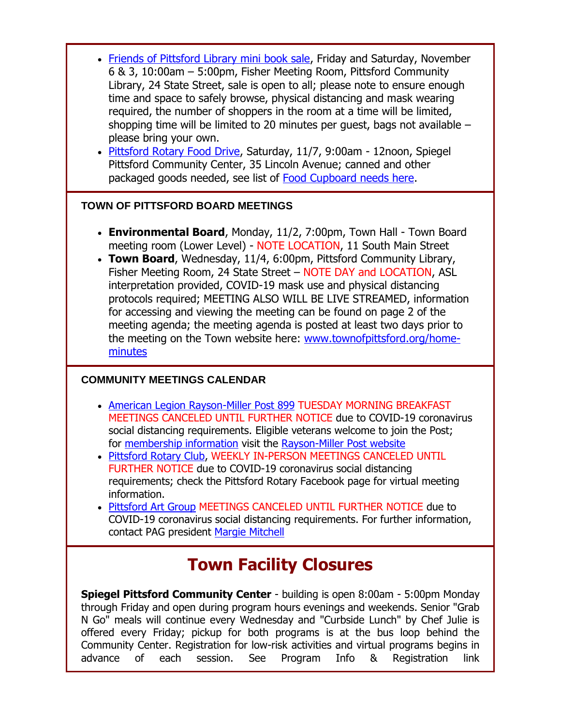- [Friends of Pittsford Library mini book sale,](http://r20.rs6.net/tn.jsp?f=0015I8mWc4-yoC_eH5NAFL_yTHwKXc5kk_pVmBzoud3BzlcpikcLl1GzSLnK8fDUyxhvXEwZdzg8szTQPq9OAASgirfFRASGrfPQVN2QNXbqSecnOevkPXgR5MTPiqkLx8g2unWfw49ia26VR6k5nuAyRH88EZlO5I2&c=4bNwo79-e0v6v2G_MUVomwxe31V2-5BJ3hcCRe-P5a3u4JfCE-VIqA==&ch=55pOF7G1buV1BOWFIkwELVA72y2fBX6ZeibcGjCGB85SW0X9ni4vpA==) Friday and Saturday, November 6 & 3, 10:00am – 5:00pm, Fisher Meeting Room, Pittsford Community Library, 24 State Street, sale is open to all; please note to ensure enough time and space to safely browse, physical distancing and mask wearing required, the number of shoppers in the room at a time will be limited, shopping time will be limited to 20 minutes per guest, bags not available – please bring your own.
- [Pittsford Rotary Food Drive,](http://r20.rs6.net/tn.jsp?f=0015I8mWc4-yoC_eH5NAFL_yTHwKXc5kk_pVmBzoud3BzlcpikcLl1Gzf9b_3K-q1Njgo1SPTbeOlqiOQ2CAv1h8lNZDHxHUehEPGb8zesaUtzZTXkXLK-6yD7n9YS0Czkee6lDpMokZzuQ3ucFpsw6I7vL8B7FufsR-naaKQbkwaMYrUvH4OvFpFNpV3h2OERJAFWbhvN7xCBUjfFMEjSnwJ1MgXmubAPxrGrS6lNcpBNMcjErG779Iw==&c=4bNwo79-e0v6v2G_MUVomwxe31V2-5BJ3hcCRe-P5a3u4JfCE-VIqA==&ch=55pOF7G1buV1BOWFIkwELVA72y2fBX6ZeibcGjCGB85SW0X9ni4vpA==) Saturday, 11/7, 9:00am 12noon, Spiegel Pittsford Community Center, 35 Lincoln Avenue; canned and other packaged goods needed, see list of [Food Cupboard needs here.](http://r20.rs6.net/tn.jsp?f=0015I8mWc4-yoC_eH5NAFL_yTHwKXc5kk_pVmBzoud3BzlcpikcLl1GzXFov8xmnZmHh6kYzLvSott3MMttp_ehyFN4PxGrsYPtlDwZpYpaYHj66_wbwOZqqQoighKCnhv1bO3Uhrada697cTYL9EDeRM35J0jEvJJp2n0fiA8b2e7WWaFJwL5x9ZrhmQiVhrI5&c=4bNwo79-e0v6v2G_MUVomwxe31V2-5BJ3hcCRe-P5a3u4JfCE-VIqA==&ch=55pOF7G1buV1BOWFIkwELVA72y2fBX6ZeibcGjCGB85SW0X9ni4vpA==)

#### **TOWN OF PITTSFORD BOARD MEETINGS**

- **Environmental Board**, Monday, 11/2, 7:00pm, Town Hall Town Board meeting room (Lower Level) - NOTE LOCATION, 11 South Main Street
- **Town Board**, Wednesday, 11/4, 6:00pm, Pittsford Community Library, Fisher Meeting Room, 24 State Street – NOTE DAY and LOCATION, ASL interpretation provided, COVID-19 mask use and physical distancing protocols required; MEETING ALSO WILL BE LIVE STREAMED, information for accessing and viewing the meeting can be found on page 2 of the meeting agenda; the meeting agenda is posted at least two days prior to the meeting on the Town website here: [www.townofpittsford.org/home](http://r20.rs6.net/tn.jsp?f=0015I8mWc4-yoC_eH5NAFL_yTHwKXc5kk_pVmBzoud3BzlcpikcLl1Gzb-kbszvcqLmSd2Np9Gm5T0Pq0Mowyn8LB0t-wFC20d1a3T4p-Byc-BqkkU9ZDdSLH1oVnr9HN3i-C2vAXdnt_bNJd5vKxS58H8V1OFRZFVgRMTUyTSkDHE=&c=4bNwo79-e0v6v2G_MUVomwxe31V2-5BJ3hcCRe-P5a3u4JfCE-VIqA==&ch=55pOF7G1buV1BOWFIkwELVA72y2fBX6ZeibcGjCGB85SW0X9ni4vpA==)[minutes](http://r20.rs6.net/tn.jsp?f=0015I8mWc4-yoC_eH5NAFL_yTHwKXc5kk_pVmBzoud3BzlcpikcLl1Gzb-kbszvcqLmSd2Np9Gm5T0Pq0Mowyn8LB0t-wFC20d1a3T4p-Byc-BqkkU9ZDdSLH1oVnr9HN3i-C2vAXdnt_bNJd5vKxS58H8V1OFRZFVgRMTUyTSkDHE=&c=4bNwo79-e0v6v2G_MUVomwxe31V2-5BJ3hcCRe-P5a3u4JfCE-VIqA==&ch=55pOF7G1buV1BOWFIkwELVA72y2fBX6ZeibcGjCGB85SW0X9ni4vpA==)

#### **COMMUNITY MEETINGS CALENDAR**

- [American Legion Rayson-Miller Post 899](http://r20.rs6.net/tn.jsp?f=0015I8mWc4-yoC_eH5NAFL_yTHwKXc5kk_pVmBzoud3BzlcpikcLl1GzSLnK8fDUyxhvGUg4D3Irl3nG_VIySeWYYrfeCjeMFFa5ulN3Kg66ha_iLkOcOGL0CPgr5fdXslzlbqSR3Vjw5uLaUP4owblEnGOH-JVesgY&c=4bNwo79-e0v6v2G_MUVomwxe31V2-5BJ3hcCRe-P5a3u4JfCE-VIqA==&ch=55pOF7G1buV1BOWFIkwELVA72y2fBX6ZeibcGjCGB85SW0X9ni4vpA==) TUESDAY MORNING BREAKFAST MEETINGS CANCELED UNTIL FURTHER NOTICE due to COVID-19 coronavirus social distancing requirements. Eligible veterans welcome to join the Post; for [membership information](http://r20.rs6.net/tn.jsp?f=0015I8mWc4-yoC_eH5NAFL_yTHwKXc5kk_pVmBzoud3BzlcpikcLl1GzSLnK8fDUyxh8UQ1yQn779xoVak4xW0BHupQpq_nYru6JAQ5TYoKv_1WXZtd8c7LVhFAjw6lLfeknkGp2AOPgYNaq9eEIfErgeXjttZqBDRFuhJKQWdTJ2GhvrsBxQ1tKrHscspID4-2&c=4bNwo79-e0v6v2G_MUVomwxe31V2-5BJ3hcCRe-P5a3u4JfCE-VIqA==&ch=55pOF7G1buV1BOWFIkwELVA72y2fBX6ZeibcGjCGB85SW0X9ni4vpA==) visit the [Rayson-Miller Post website](http://r20.rs6.net/tn.jsp?f=0015I8mWc4-yoC_eH5NAFL_yTHwKXc5kk_pVmBzoud3BzlcpikcLl1Gzaw1dxStagaffvv6pU-6KjMnV3Bf9KojvvKMSttploC0o7WlMNpDu7GVlKsdMb2aZFuYBV4dYy4hd8aJ5q9hpvs_4VIJyIr-k50UtJXEXlzIMWJQ-DSpvW2W-GRVXO7nKRgLzrDut9vglyrZIac48pkDTYMziP3YWe9q2pUgk0T-IBlJ-arfC4jh_7sSAWlJbtiwWwTfKAgV&c=4bNwo79-e0v6v2G_MUVomwxe31V2-5BJ3hcCRe-P5a3u4JfCE-VIqA==&ch=55pOF7G1buV1BOWFIkwELVA72y2fBX6ZeibcGjCGB85SW0X9ni4vpA==)
- [Pittsford Rotary Club,](http://r20.rs6.net/tn.jsp?f=0015I8mWc4-yoC_eH5NAFL_yTHwKXc5kk_pVmBzoud3BzlcpikcLl1Gzb-kbszvcqLmzb38czyeaEOWTNiAWWSLntMLsAdRi6XvHLEQdT4XQLbihz8HJ334JBW3CVgzbfKgz1QClFvJwU9cACno15PLxKxprLefGcrc&c=4bNwo79-e0v6v2G_MUVomwxe31V2-5BJ3hcCRe-P5a3u4JfCE-VIqA==&ch=55pOF7G1buV1BOWFIkwELVA72y2fBX6ZeibcGjCGB85SW0X9ni4vpA==) WEEKLY IN-PERSON MEETINGS CANCELED UNTIL FURTHER NOTICE due to COVID-19 coronavirus social distancing requirements; check the Pittsford Rotary Facebook page for virtual meeting information.
- [Pittsford Art Group](http://r20.rs6.net/tn.jsp?f=0015I8mWc4-yoC_eH5NAFL_yTHwKXc5kk_pVmBzoud3BzlcpikcLl1GzWJ4U2bNCYXhfurg2kf8wJWh1QUH2werZzmUJiN0GW6svENjjBtqD18nAUu01iDNyGkLlbHV4RJ0h9SGrUkiLvxkTklX4zFUrEVB9JBnGBW1WVBp_kPR274=&c=4bNwo79-e0v6v2G_MUVomwxe31V2-5BJ3hcCRe-P5a3u4JfCE-VIqA==&ch=55pOF7G1buV1BOWFIkwELVA72y2fBX6ZeibcGjCGB85SW0X9ni4vpA==) MEETINGS CANCELED UNTIL FURTHER NOTICE due to COVID-19 coronavirus social distancing requirements. For further information, contact PAG president [Margie Mitchell](mailto:mhsmitchell@gmail.com?subject=Pittsford%20Art%20Group%20Meetings%20and%20Membership)

## **Town Facility Closures**

**Spiegel Pittsford Community Center** - building is open 8:00am - 5:00pm Monday through Friday and open during program hours evenings and weekends. Senior "Grab N Go" meals will continue every Wednesday and "Curbside Lunch" by Chef Julie is offered every Friday; pickup for both programs is at the bus loop behind the Community Center. Registration for low-risk activities and virtual programs begins in advance of each session. See Program Info & Registration link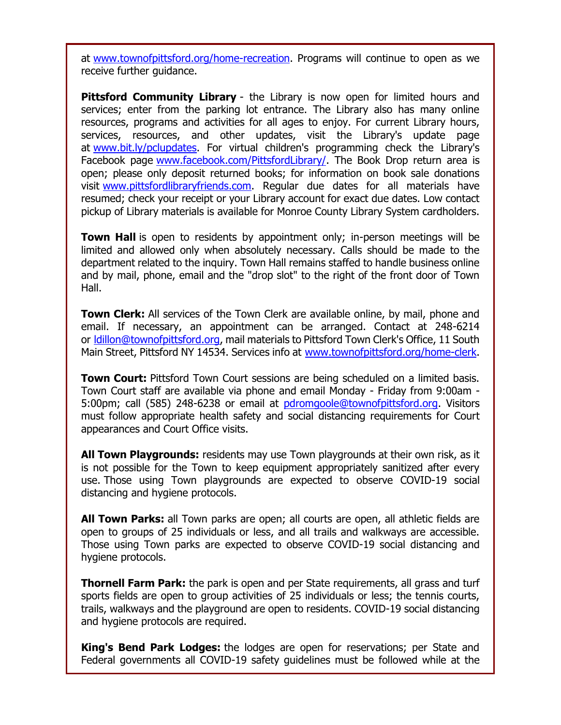at [www.townofpittsford.org/home-recreation.](http://r20.rs6.net/tn.jsp?f=0015I8mWc4-yoC_eH5NAFL_yTHwKXc5kk_pVmBzoud3BzlcpikcLl1GzSuMvBwlfY1HZ_3PFIWpg1O3FCjYmUyyRSTc03nIRULgOCSpTc8E8OoXCtmnoK1fFnkhIu1AjfqiFuTxWOBsb2CnkT_6sdt_qbOGAPzdJSGXdg3YW_BGfaCKmuFrMhgdWQ==&c=4bNwo79-e0v6v2G_MUVomwxe31V2-5BJ3hcCRe-P5a3u4JfCE-VIqA==&ch=55pOF7G1buV1BOWFIkwELVA72y2fBX6ZeibcGjCGB85SW0X9ni4vpA==) Programs will continue to open as we receive further guidance.

**Pittsford Community Library** - the Library is now open for limited hours and services; enter from the parking lot entrance. The Library also has many online resources, programs and activities for all ages to enjoy. For current Library hours, services, resources, and other updates, visit the Library's update page at [www.bit.ly/pclupdates.](http://r20.rs6.net/tn.jsp?f=0015I8mWc4-yoC_eH5NAFL_yTHwKXc5kk_pVmBzoud3BzlcpikcLl1Gzf9b_3K-q1NjIGbZ3Taf4QNtV3BGkOTyCK3r8otBq-tMV34w_XNeKfIGYYhQY9ov4I41Tt34d3tC2oHcJHJZl8JhzlOO0IjSLg==&c=4bNwo79-e0v6v2G_MUVomwxe31V2-5BJ3hcCRe-P5a3u4JfCE-VIqA==&ch=55pOF7G1buV1BOWFIkwELVA72y2fBX6ZeibcGjCGB85SW0X9ni4vpA==) For virtual children's programming check the Library's Facebook page [www.facebook.com/PittsfordLibrary/.](http://r20.rs6.net/tn.jsp?f=0015I8mWc4-yoC_eH5NAFL_yTHwKXc5kk_pVmBzoud3BzlcpikcLl1GzZwiq9M7AmUoj8McWG7oGb0qQ2AnFkEU1RszUNRCK4rq5wTFni5seVi3ts7Iv98mUnrR6nXi2bb2yI3XgYnruOgXZvSwiNSvflgPp49Vpq68dLJ4RbfLhnY=&c=4bNwo79-e0v6v2G_MUVomwxe31V2-5BJ3hcCRe-P5a3u4JfCE-VIqA==&ch=55pOF7G1buV1BOWFIkwELVA72y2fBX6ZeibcGjCGB85SW0X9ni4vpA==) The Book Drop return area is open; please only deposit returned books; for information on book sale donations visit [www.pittsfordlibraryfriends.com.](http://r20.rs6.net/tn.jsp?f=0015I8mWc4-yoC_eH5NAFL_yTHwKXc5kk_pVmBzoud3BzlcpikcLl1GzXeA9ifzFnixkSNAV_bGYNt-OJ_9_lvYepwOWtjDfqtmPI6Ya17-o6AhEyIapTj5NklILWs-e0SNorj5IHh-ZCjYPYAakpXQXtLQrTRiw71fG7sAjElMzho=&c=4bNwo79-e0v6v2G_MUVomwxe31V2-5BJ3hcCRe-P5a3u4JfCE-VIqA==&ch=55pOF7G1buV1BOWFIkwELVA72y2fBX6ZeibcGjCGB85SW0X9ni4vpA==) Regular due dates for all materials have resumed; check your receipt or your Library account for exact due dates. Low contact pickup of Library materials is available for Monroe County Library System cardholders.

**Town Hall** is open to residents by appointment only; in-person meetings will be limited and allowed only when absolutely necessary. Calls should be made to the department related to the inquiry. Town Hall remains staffed to handle business online and by mail, phone, email and the "drop slot" to the right of the front door of Town Hall.

**Town Clerk:** All services of the Town Clerk are available online, by mail, phone and email. If necessary, an appointment can be arranged. Contact at 248-6214 or [ldillon@townofpittsford.org,](mailto:ldillon@townofpittsford.org) mail materials to Pittsford Town Clerk's Office, 11 South Main Street, Pittsford NY 14534. Services info at [www.townofpittsford.org/home-clerk.](http://r20.rs6.net/tn.jsp?f=0015I8mWc4-yoC_eH5NAFL_yTHwKXc5kk_pVmBzoud3BzlcpikcLl1GzQ4qhJ6RkFNaIv3JUL0DbCdeOZFe54DGUfFOlsHedAqlYX8ruN2_8RSwSIHvsVsXmLW5MkvmCd_ov-thRIccbJoaYxmi9Rl38Z-34KUC5mvOYH2562UH4qI=&c=4bNwo79-e0v6v2G_MUVomwxe31V2-5BJ3hcCRe-P5a3u4JfCE-VIqA==&ch=55pOF7G1buV1BOWFIkwELVA72y2fBX6ZeibcGjCGB85SW0X9ni4vpA==)

**Town Court:** Pittsford Town Court sessions are being scheduled on a limited basis. Town Court staff are available via phone and email Monday - Friday from 9:00am 5:00pm; call (585) 248-6238 or email at [pdromgoole@townofpittsford.org.](mailto:pdromgoole@townofpittsford.org) Visitors must follow appropriate health safety and social distancing requirements for Court appearances and Court Office visits.

**All Town Playgrounds:** residents may use Town playgrounds at their own risk, as it is not possible for the Town to keep equipment appropriately sanitized after every use. Those using Town playgrounds are expected to observe COVID-19 social distancing and hygiene protocols.

**All Town Parks:** all Town parks are open; all courts are open, all athletic fields are open to groups of 25 individuals or less, and all trails and walkways are accessible. Those using Town parks are expected to observe COVID-19 social distancing and hygiene protocols.

**Thornell Farm Park:** the park is open and per State requirements, all grass and turf sports fields are open to group activities of 25 individuals or less; the tennis courts, trails, walkways and the playground are open to residents. COVID-19 social distancing and hygiene protocols are required.

**King's Bend Park Lodges:** the lodges are open for reservations; per State and Federal governments all COVID-19 safety guidelines must be followed while at the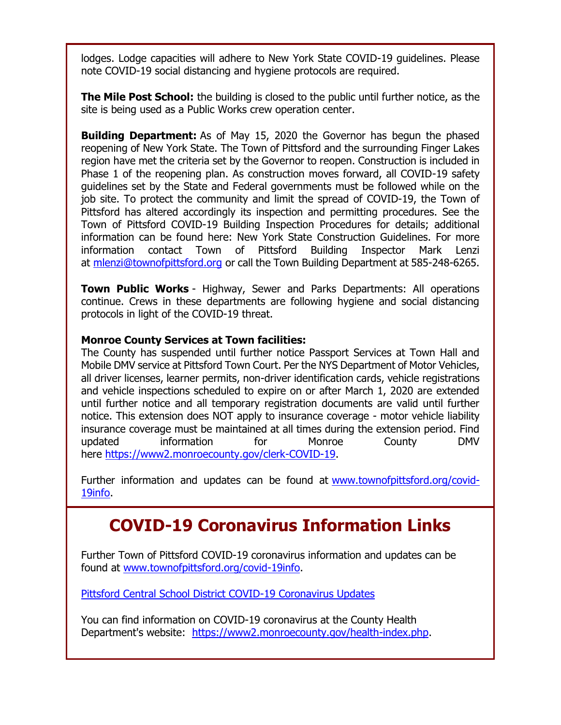lodges. Lodge capacities will adhere to New York State COVID-19 guidelines. Please note COVID-19 social distancing and hygiene protocols are required.

**The Mile Post School:** the building is closed to the public until further notice, as the site is being used as a Public Works crew operation center.

**Building Department:** As of May 15, 2020 the Governor has begun the phased reopening of New York State. The Town of Pittsford and the surrounding Finger Lakes region have met the criteria set by the Governor to reopen. Construction is included in Phase 1 of the reopening plan. As construction moves forward, all COVID-19 safety guidelines set by the State and Federal governments must be followed while on the job site. To protect the community and limit the spread of COVID-19, the Town of Pittsford has altered accordingly its inspection and permitting procedures. See the Town of Pittsford COVID-19 Building Inspection Procedures for details; additional information can be found here: New York State Construction Guidelines. For more information contact Town of Pittsford Building Inspector Mark Lenzi at [mlenzi@townofpittsford.org](mailto:mlenzi@townofpittsford.org?subject=COVID-19%20Construciton%20Information) or call the Town Building Department at 585-248-6265.

**Town Public Works** - Highway, Sewer and Parks Departments: All operations continue. Crews in these departments are following hygiene and social distancing protocols in light of the COVID-19 threat.

#### **Monroe County Services at Town facilities:**

The County has suspended until further notice Passport Services at Town Hall and Mobile DMV service at Pittsford Town Court. Per the NYS Department of Motor Vehicles, all driver licenses, learner permits, non-driver identification cards, vehicle registrations and vehicle inspections scheduled to expire on or after March 1, 2020 are extended until further notice and all temporary registration documents are valid until further notice. This extension does NOT apply to insurance coverage - motor vehicle liability insurance coverage must be maintained at all times during the extension period. Find updated information for Monroe County DMV here [https://www2.monroecounty.gov/clerk-COVID-19.](http://r20.rs6.net/tn.jsp?f=0015I8mWc4-yoC_eH5NAFL_yTHwKXc5kk_pVmBzoud3BzlcpikcLl1GzcjDtyWIkrMI5oWTG9ZSmWLttmKdjIfZ22IIOHvM1ybNq_jtaX25YO9xPDAFKv2_xeoQJFbLAczZCI0gipYG0lEM-iD8GM2y6MQ5B0kc7G5Wid3QH8_iucQ=&c=4bNwo79-e0v6v2G_MUVomwxe31V2-5BJ3hcCRe-P5a3u4JfCE-VIqA==&ch=55pOF7G1buV1BOWFIkwELVA72y2fBX6ZeibcGjCGB85SW0X9ni4vpA==)

Further information and updates can be found at [www.townofpittsford.org/covid-](http://r20.rs6.net/tn.jsp?f=0015I8mWc4-yoC_eH5NAFL_yTHwKXc5kk_pVmBzoud3BzlcpikcLl1GzX2-fF6j4bTVn3r6CUz7A0kptZfLMxxld7aTtvi3dnBHngJGVQezLm6z9rhsgopVWiNJS5tba5EDyk5lf1nSFeggtH8efSjLqHvexxTe8jdog8pmcWhuogc=&c=4bNwo79-e0v6v2G_MUVomwxe31V2-5BJ3hcCRe-P5a3u4JfCE-VIqA==&ch=55pOF7G1buV1BOWFIkwELVA72y2fBX6ZeibcGjCGB85SW0X9ni4vpA==)[19info.](http://r20.rs6.net/tn.jsp?f=0015I8mWc4-yoC_eH5NAFL_yTHwKXc5kk_pVmBzoud3BzlcpikcLl1GzX2-fF6j4bTVn3r6CUz7A0kptZfLMxxld7aTtvi3dnBHngJGVQezLm6z9rhsgopVWiNJS5tba5EDyk5lf1nSFeggtH8efSjLqHvexxTe8jdog8pmcWhuogc=&c=4bNwo79-e0v6v2G_MUVomwxe31V2-5BJ3hcCRe-P5a3u4JfCE-VIqA==&ch=55pOF7G1buV1BOWFIkwELVA72y2fBX6ZeibcGjCGB85SW0X9ni4vpA==)

### **COVID-19 Coronavirus Information Links**

Further Town of Pittsford COVID-19 coronavirus information and updates can be found at [www.townofpittsford.org/covid-19info.](http://r20.rs6.net/tn.jsp?f=0015I8mWc4-yoC_eH5NAFL_yTHwKXc5kk_pVmBzoud3BzlcpikcLl1GzX2-fF6j4bTVn3r6CUz7A0kptZfLMxxld7aTtvi3dnBHngJGVQezLm6z9rhsgopVWiNJS5tba5EDyk5lf1nSFeggtH8efSjLqHvexxTe8jdog8pmcWhuogc=&c=4bNwo79-e0v6v2G_MUVomwxe31V2-5BJ3hcCRe-P5a3u4JfCE-VIqA==&ch=55pOF7G1buV1BOWFIkwELVA72y2fBX6ZeibcGjCGB85SW0X9ni4vpA==)

[Pittsford Central School District COVID-19 Coronavirus Updates](http://r20.rs6.net/tn.jsp?f=0015I8mWc4-yoC_eH5NAFL_yTHwKXc5kk_pVmBzoud3BzlcpikcLl1GzZwiq9M7AmUo53OVSMpvReVazdIAVuWdXp05bKgZarSVlToEmYYlr_IRGRcf_9uw72JFAz3Z6RczaA-Ww7hYwdcmAmcMbl7EIuom0gXFe5kJzl3j93DTvvG3m0R0aWMufg==&c=4bNwo79-e0v6v2G_MUVomwxe31V2-5BJ3hcCRe-P5a3u4JfCE-VIqA==&ch=55pOF7G1buV1BOWFIkwELVA72y2fBX6ZeibcGjCGB85SW0X9ni4vpA==)

You can find information on COVID-19 coronavirus at the County Health Department's website: [https://www2.monroecounty.gov/health-index.php.](http://r20.rs6.net/tn.jsp?f=0015I8mWc4-yoC_eH5NAFL_yTHwKXc5kk_pVmBzoud3BzlcpikcLl1Gzb_e8rPBSywzLPT7exV-QAxW7yhk_zTAo7okyk0ZERcEieJQtLXwZY_ghhCX7qDib-0vMQV5Pt8d8YTltOFjvuZg02RETeOYlLInd4znbhd8JhyWiG4c3sUwinfW2xbS5g==&c=4bNwo79-e0v6v2G_MUVomwxe31V2-5BJ3hcCRe-P5a3u4JfCE-VIqA==&ch=55pOF7G1buV1BOWFIkwELVA72y2fBX6ZeibcGjCGB85SW0X9ni4vpA==)